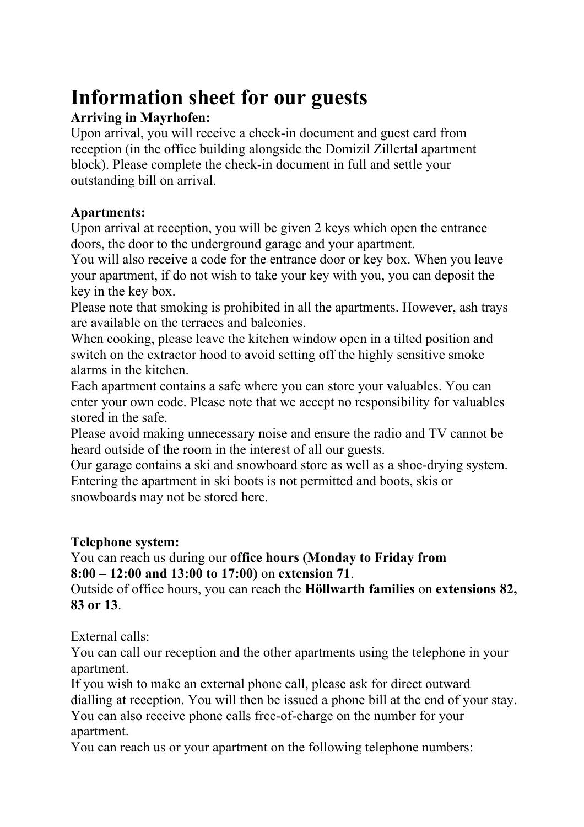# **Information sheet for our guests**

## **Arriving in Mayrhofen:**

Upon arrival, you will receive a check-in document and guest card from reception (in the office building alongside the Domizil Zillertal apartment block). Please complete the check-in document in full and settle your outstanding bill on arrival.

### **Apartments:**

Upon arrival at reception, you will be given 2 keys which open the entrance doors, the door to the underground garage and your apartment.

You will also receive a code for the entrance door or key box. When you leave your apartment, if do not wish to take your key with you, you can deposit the key in the key box.

Please note that smoking is prohibited in all the apartments. However, ash trays are available on the terraces and balconies.

When cooking, please leave the kitchen window open in a tilted position and switch on the extractor hood to avoid setting off the highly sensitive smoke alarms in the kitchen.

Each apartment contains a safe where you can store your valuables. You can enter your own code. Please note that we accept no responsibility for valuables stored in the safe.

Please avoid making unnecessary noise and ensure the radio and TV cannot be heard outside of the room in the interest of all our guests.

Our garage contains a ski and snowboard store as well as a shoe-drying system. Entering the apartment in ski boots is not permitted and boots, skis or snowboards may not be stored here.

#### **Telephone system:**

#### You can reach us during our **office hours (Monday to Friday from 8:00 – 12:00 and 13:00 to 17:00)** on **extension 71**.

Outside of office hours, you can reach the **Höllwarth families** on **extensions 82, 83 or 13**.

External calls:

You can call our reception and the other apartments using the telephone in your apartment.

If you wish to make an external phone call, please ask for direct outward dialling at reception. You will then be issued a phone bill at the end of your stay. You can also receive phone calls free-of-charge on the number for your apartment.

You can reach us or your apartment on the following telephone numbers: